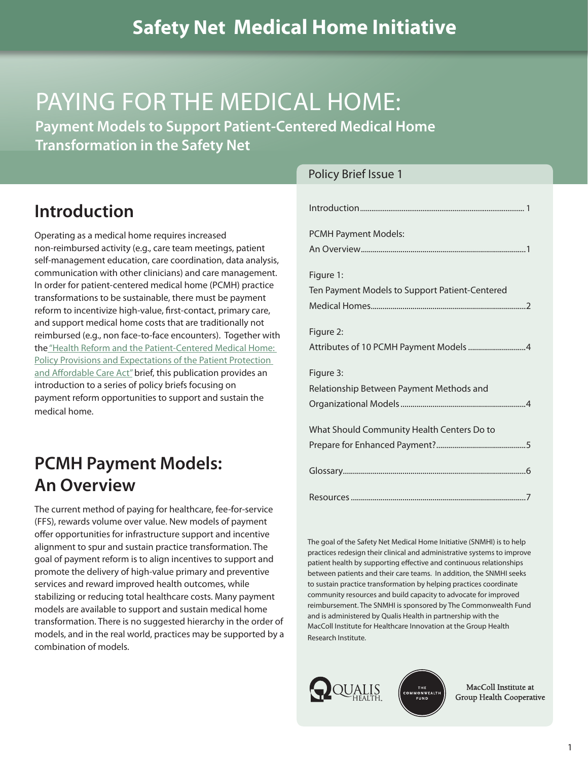# PAYING FOR THE MEDICAL HOME:

**Payment Models to Support Patient-Centered Medical Home Transformation in the Safety Net**

### **Introduction**

Operating as a medical home requires increased non-reimbursed activity (e.g., care team meetings, patient self-management education, care coordination, data analysis, communication with other clinicians) and care management. In order for patient-centered medical home (PCMH) practice transformations to be sustainable, there must be payment reform to incentivize high-value, first-contact, primary care, and support medical home costs that are traditionally not reimbursed (e.g., non face-to-face encounters). Together with the ["Health Reform and the Patient-Centered Medical Home:](http://www.qhmedicalhome.org/safety-net/upload/SNMHI_PolicyBrief_Issue2.pdf) [Policy Provisions and Expectations of the Patient Protection](http://www.qhmedicalhome.org/safety-net/upload/SNMHI_PolicyBrief_Issue2.pdf) [and Affordable Care Act"](http://www.qhmedicalhome.org/safety-net/upload/SNMHI_PolicyBrief_Issue2.pdf) brief, this publication provides an introduction to a series of policy briefs focusing on payment reform opportunities to support and sustain the medical home.

## **PCMH Payment Models: An Overview**

The current method of paying for healthcare, fee-for-service (FFS), rewards volume over value. New models of payment offer opportunities for infrastructure support and incentive alignment to spur and sustain practice transformation. The goal of payment reform is to align incentives to support and promote the delivery of high-value primary and preventive services and reward improved health outcomes, while stabilizing or reducing total healthcare costs. Many payment models are available to support and sustain medical home transformation. There is no suggested hierarchy in the order of models, and in the real world, practices may be supported by a combination of models.

#### Policy Brief Issue 1

| <b>PCMH Payment Models:</b>                    |
|------------------------------------------------|
|                                                |
| Figure 1:                                      |
| Ten Payment Models to Support Patient-Centered |
|                                                |
| Figure 2:                                      |
|                                                |
| Figure 3:                                      |
| Relationship Between Payment Methods and       |
|                                                |
| What Should Community Health Centers Do to     |
|                                                |
|                                                |
|                                                |

The goal of the Safety Net Medical Home Initiative (SNMHI) is to help practices redesign their clinical and administrative systems to improve patient health by supporting effective and continuous relationships between patients and their care teams. In addition, the SNMHI seeks to sustain practice transformation by helping practices coordinate community resources and build capacity to advocate for improved reimbursement. The SNMHI is sponsored by The Commonwealth Fund and is administered by Qualis Health in partnership with the MacColl Institute for Healthcare Innovation at the Group Health Research Institute.





MacColl Institute at Group Health Cooperative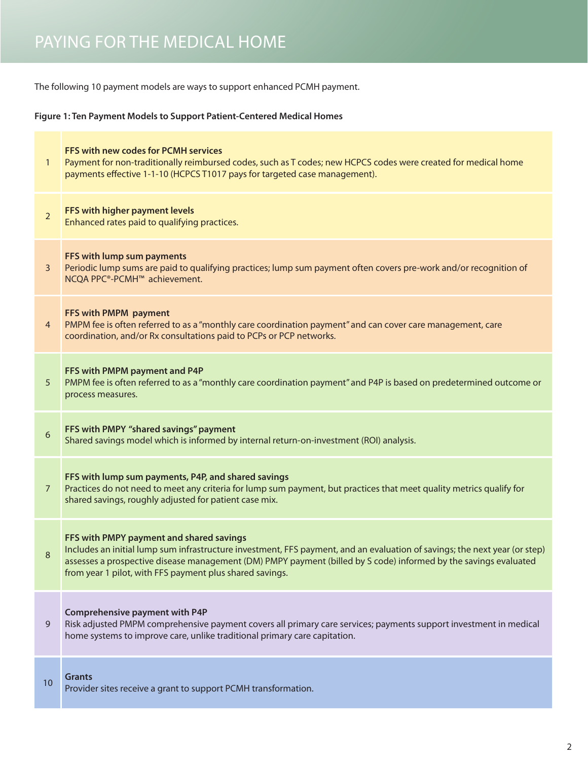<span id="page-1-0"></span>The following 10 payment models are ways to support enhanced PCMH payment.

#### **Figure 1: Ten Payment Models to Support Patient-Centered Medical Homes**

| $\mathbf{1}$   | FFS with new codes for PCMH services<br>Payment for non-traditionally reimbursed codes, such as T codes; new HCPCS codes were created for medical home<br>payments effective 1-1-10 (HCPCS T1017 pays for targeted case management).                                                                                                                   |
|----------------|--------------------------------------------------------------------------------------------------------------------------------------------------------------------------------------------------------------------------------------------------------------------------------------------------------------------------------------------------------|
| $\overline{2}$ | FFS with higher payment levels<br>Enhanced rates paid to qualifying practices.                                                                                                                                                                                                                                                                         |
| 3              | FFS with lump sum payments<br>Periodic lump sums are paid to qualifying practices; lump sum payment often covers pre-work and/or recognition of<br>NCQA PPC®-PCMH™ achievement.                                                                                                                                                                        |
| $\overline{4}$ | FFS with PMPM payment<br>PMPM fee is often referred to as a "monthly care coordination payment" and can cover care management, care<br>coordination, and/or Rx consultations paid to PCPs or PCP networks.                                                                                                                                             |
| 5              | FFS with PMPM payment and P4P<br>PMPM fee is often referred to as a "monthly care coordination payment" and P4P is based on predetermined outcome or<br>process measures.                                                                                                                                                                              |
| $6\,$          | FFS with PMPY "shared savings" payment<br>Shared savings model which is informed by internal return-on-investment (ROI) analysis.                                                                                                                                                                                                                      |
| $\overline{7}$ | FFS with lump sum payments, P4P, and shared savings<br>Practices do not need to meet any criteria for lump sum payment, but practices that meet quality metrics qualify for<br>shared savings, roughly adjusted for patient case mix.                                                                                                                  |
| 8              | FFS with PMPY payment and shared savings<br>Includes an initial lump sum infrastructure investment, FFS payment, and an evaluation of savings; the next year (or step)<br>assesses a prospective disease management (DM) PMPY payment (billed by S code) informed by the savings evaluated<br>from year 1 pilot, with FFS payment plus shared savings. |
| 9              | <b>Comprehensive payment with P4P</b><br>Risk adjusted PMPM comprehensive payment covers all primary care services; payments support investment in medical<br>home systems to improve care, unlike traditional primary care capitation.                                                                                                                |
| 10             | <b>Grants</b><br>Provider sites receive a grant to support PCMH transformation.                                                                                                                                                                                                                                                                        |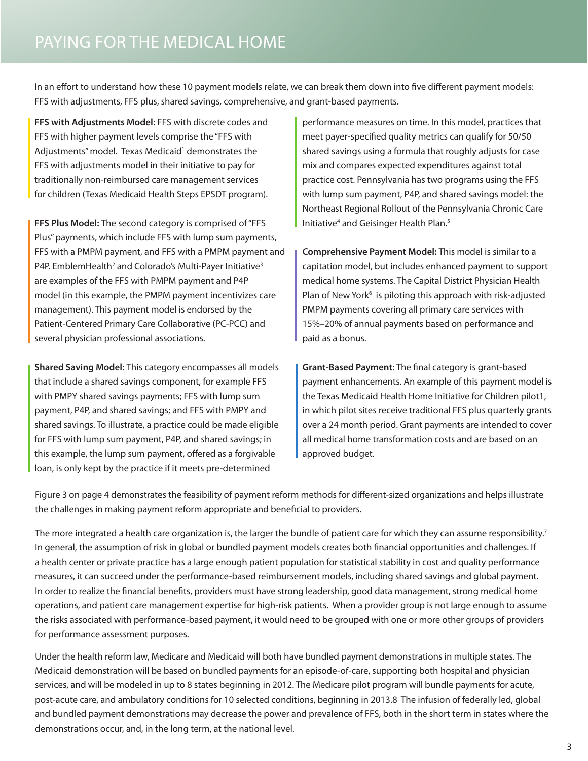In an effort to understand how these 10 payment models relate, we can break them down into five different payment models: FFS with adjustments, FFS plus, shared savings, comprehensive, and grant-based payments.

**FFS with Adjustments Model:** FFS with discrete codes and FFS with higher payment levels comprise the "FFS with Adjustments'' model. Texas Medicaid<sup>1</sup> demonstrates the FFS with adjustments model in their initiative to pay for traditionally non-reimbursed care management services for children (Texas Medicaid Health Steps EPSDT program).

**FFS Plus Model:** The second category is comprised of "FFS Plus" payments, which include FFS with lump sum payments, FFS with a PMPM payment, and FFS with a PMPM payment and P4P. EmblemHealth<sup>2</sup> and Colorado's Multi-Payer Initiative<sup>3</sup> are examples of the FFS with PMPM payment and P4P model (in this example, the PMPM payment incentivizes care management). This payment model is endorsed by the Patient-Centered Primary Care Collaborative (PC-PCC) and several physician professional associations.

**Shared Saving Model:** This category encompasses all models that include a shared savings component, for example FFS with PMPY shared savings payments; FFS with lump sum payment, P4P, and shared savings; and FFS with PMPY and shared savings. To illustrate, a practice could be made eligible for FFS with lump sum payment, P4P, and shared savings; in this example, the lump sum payment, offered as a forgivable loan, is only kept by the practice if it meets pre-determined

performance measures on time. In this model, practices that meet payer-specified quality metrics can qualify for 50/50 shared savings using a formula that roughly adjusts for case mix and compares expected expenditures against total practice cost. Pennsylvania has two programs using the FFS with lump sum payment, P4P, and shared savings model: the Northeast Regional Rollout of the Pennsylvania Chronic Care Initiative<sup>4</sup> and Geisinger Health Plan.<sup>5</sup>

**Comprehensive Payment Model:** This model is similar to a capitation model, but includes enhanced payment to support medical home systems. The Capital District Physician Health Plan of New York<sup>6</sup> is piloting this approach with risk-adjusted PMPM payments covering all primary care services with 15%–20% of annual payments based on performance and paid as a bonus.

**Grant-Based Payment:** The final category is grant-based payment enhancements. An example of this payment model is the Texas Medicaid Health Home Initiative for Children pilot1, in which pilot sites receive traditional FFS plus quarterly grants over a 24 month period. Grant payments are intended to cover all medical home transformation costs and are based on an approved budget.

Figure 3 on page 4 demonstrates the feasibility of payment reform methods for different-sized organizations and helps illustrate the challenges in making payment reform appropriate and beneficial to providers.

The more integrated a health care organization is, the larger the bundle of patient care for which they can assume responsibility.<sup>7</sup> In general, the assumption of risk in global or bundled payment models creates both financial opportunities and challenges. If a health center or private practice has a large enough patient population for statistical stability in cost and quality performance measures, it can succeed under the performance-based reimbursement models, including shared savings and global payment. In order to realize the financial benefits, providers must have strong leadership, good data management, strong medical home operations, and patient care management expertise for high-risk patients. When a provider group is not large enough to assume the risks associated with performance-based payment, it would need to be grouped with one or more other groups of providers for performance assessment purposes.

Under the health reform law, Medicare and Medicaid will both have bundled payment demonstrations in multiple states. The Medicaid demonstration will be based on bundled payments for an episode-of-care, supporting both hospital and physician services, and will be modeled in up to 8 states beginning in 2012. The Medicare pilot program will bundle payments for acute, post-acute care, and ambulatory conditions for 10 selected conditions, beginning in 2013.8 The infusion of federally led, global and bundled payment demonstrations may decrease the power and prevalence of FFS, both in the short term in states where the demonstrations occur, and, in the long term, at the national level.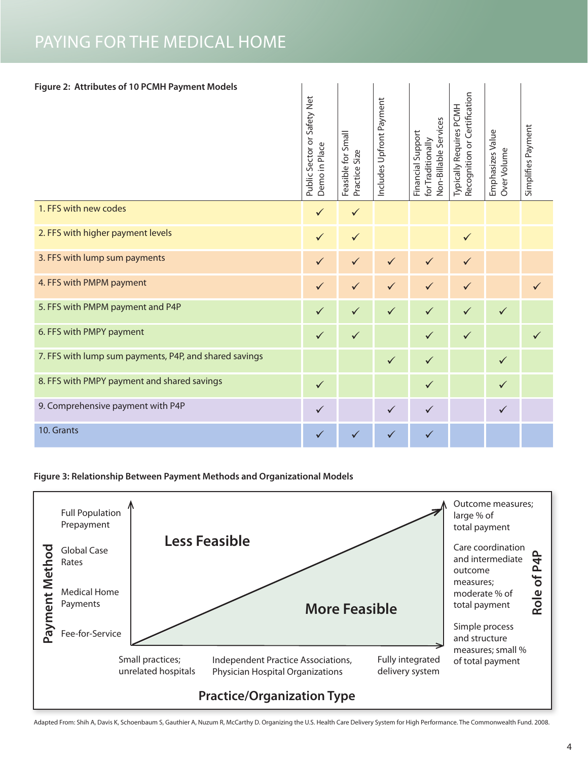<span id="page-3-0"></span>

| Figure 2: Attributes of 10 PCMH Payment Models         |              |                                     |                          |                                                                 |                                                         |                                 |                    |  |  |
|--------------------------------------------------------|--------------|-------------------------------------|--------------------------|-----------------------------------------------------------------|---------------------------------------------------------|---------------------------------|--------------------|--|--|
|                                                        |              | Feasible for Small<br>Practice Size | Includes Upfront Payment | Non-Billable Services<br>Financial Support<br>for Traditionally | Recognition or Certification<br>Typically Requires PCMH | Emphasizes Value<br>Over Volume | Simplifies Payment |  |  |
| 1. FFS with new codes                                  | ✓            | $\checkmark$                        |                          |                                                                 |                                                         |                                 |                    |  |  |
| 2. FFS with higher payment levels                      | $\checkmark$ | $\checkmark$                        |                          |                                                                 | $\checkmark$                                            |                                 |                    |  |  |
| 3. FFS with lump sum payments                          | $\checkmark$ | $\checkmark$                        | $\checkmark$             | $\checkmark$                                                    | ✓                                                       |                                 |                    |  |  |
| 4. FFS with PMPM payment                               | $\checkmark$ | $\checkmark$                        | $\checkmark$             | $\checkmark$                                                    | $\checkmark$                                            |                                 | ✓                  |  |  |
| 5. FFS with PMPM payment and P4P                       | ✓            | $\checkmark$                        | $\checkmark$             | $\checkmark$                                                    | ✓                                                       | $\checkmark$                    |                    |  |  |
| 6. FFS with PMPY payment                               | $\checkmark$ | $\checkmark$                        |                          | $\checkmark$                                                    | $\checkmark$                                            |                                 | ✓                  |  |  |
| 7. FFS with lump sum payments, P4P, and shared savings |              |                                     | $\checkmark$             | $\checkmark$                                                    |                                                         | $\checkmark$                    |                    |  |  |
| 8. FFS with PMPY payment and shared savings            | $\checkmark$ |                                     |                          | $\checkmark$                                                    |                                                         | $\checkmark$                    |                    |  |  |
| 9. Comprehensive payment with P4P                      | ✓            |                                     | $\checkmark$             | $\checkmark$                                                    |                                                         | $\checkmark$                    |                    |  |  |
| 10. Grants                                             | $\checkmark$ | ✓                                   | $\checkmark$             | ✓                                                               |                                                         |                                 |                    |  |  |

**Figure 3: Relationship Between Payment Methods and Organizational Models**



Adapted From: Shih A, Davis K, Schoenbaum S, Gauthier A, Nuzum R, McCarthy D. Organizing the U.S. Health Care Delivery System for High Performance. The Commonwealth Fund. 2008.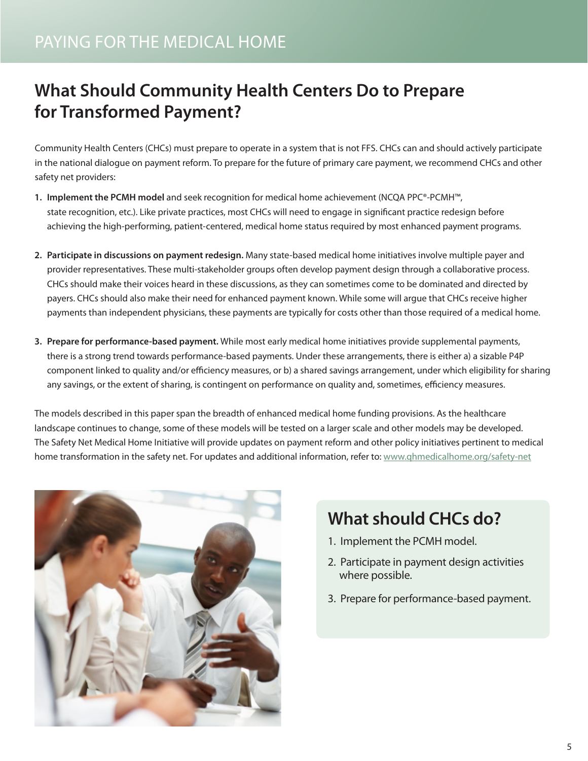### <span id="page-4-0"></span>PAYING FOR THE MEDICAL HOME

# **What Should Community Health Centers Do to Prepare for Transformed Payment?**

Community Health Centers (CHCs) must prepare to operate in a system that is not FFS. CHCs can and should actively participate in the national dialogue on payment reform. To prepare for the future of primary care payment, we recommend CHCs and other safety net providers:

- **1. Implement the PCMH model** and seek recognition for medical home achievement (NCQA PPC®-PCMH™, state recognition, etc.). Like private practices, most CHCs will need to engage in significant practice redesign before achieving the high-performing, patient-centered, medical home status required by most enhanced payment programs.
- **2. Participate in discussions on payment redesign.** Many state-based medical home initiatives involve multiple payer and provider representatives. These multi-stakeholder groups often develop payment design through a collaborative process. CHCs should make their voices heard in these discussions, as they can sometimes come to be dominated and directed by payers. CHCs should also make their need for enhanced payment known. While some will argue that CHCs receive higher payments than independent physicians, these payments are typically for costs other than those required of a medical home.
- **3. Prepare for performance-based payment.** While most early medical home initiatives provide supplemental payments, there is a strong trend towards performance-based payments. Under these arrangements, there is either a) a sizable P4P component linked to quality and/or efficiency measures, or b) a shared savings arrangement, under which eligibility for sharing any savings, or the extent of sharing, is contingent on performance on quality and, sometimes, efficiency measures.

The models described in this paper span the breadth of enhanced medical home funding provisions. As the healthcare landscape continues to change, some of these models will be tested on a larger scale and other models may be developed. The Safety Net Medical Home Initiative will provide updates on payment reform and other policy initiatives pertinent to medical home transformation in the safety net. For updates and additional information, refer to: www.qhmedicalhome.org/safety-net



# **What should CHCs do?**

- 1. Implement the PCMH model.
- 2. Participate in payment design activities where possible.
- 3. Prepare for performance-based payment.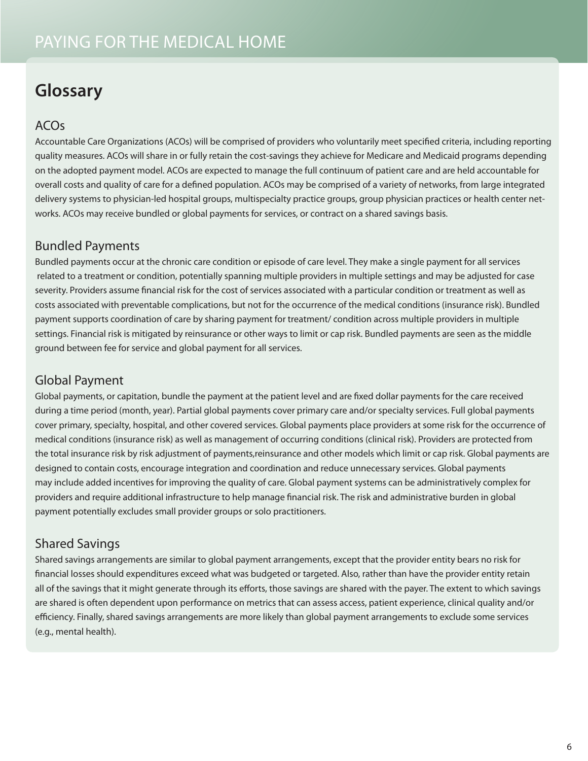# <span id="page-5-0"></span>**Glossary**

### ACOs

Accountable Care Organizations (ACOs) will be comprised of providers who voluntarily meet specified criteria, including reporting quality measures. ACOs will share in or fully retain the cost-savings they achieve for Medicare and Medicaid programs depending on the adopted payment model. ACOs are expected to manage the full continuum of patient care and are held accountable for overall costs and quality of care for a defined population. ACOs may be comprised of a variety of networks, from large integrated delivery systems to physician-led hospital groups, multispecialty practice groups, group physician practices or health center networks. ACOs may receive bundled or global payments for services, or contract on a shared savings basis.

#### Bundled Payments

Bundled payments occur at the chronic care condition or episode of care level. They make a single payment for all services related to a treatment or condition, potentially spanning multiple providers in multiple settings and may be adjusted for case severity. Providers assume financial risk for the cost of services associated with a particular condition or treatment as well as costs associated with preventable complications, but not for the occurrence of the medical conditions (insurance risk). Bundled payment supports coordination of care by sharing payment for treatment/ condition across multiple providers in multiple settings. Financial risk is mitigated by reinsurance or other ways to limit or cap risk. Bundled payments are seen as the middle ground between fee for service and global payment for all services.

#### Global Payment

Global payments, or capitation, bundle the payment at the patient level and are fixed dollar payments for the care received during a time period (month, year). Partial global payments cover primary care and/or specialty services. Full global payments cover primary, specialty, hospital, and other covered services. Global payments place providers at some risk for the occurrence of medical conditions (insurance risk) as well as management of occurring conditions (clinical risk). Providers are protected from the total insurance risk by risk adjustment of payments,reinsurance and other models which limit or cap risk. Global payments are designed to contain costs, encourage integration and coordination and reduce unnecessary services. Global payments may include added incentives for improving the quality of care. Global payment systems can be administratively complex for providers and require additional infrastructure to help manage financial risk. The risk and administrative burden in global payment potentially excludes small provider groups or solo practitioners.

#### Shared Savings

Shared savings arrangements are similar to global payment arrangements, except that the provider entity bears no risk for financial losses should expenditures exceed what was budgeted or targeted. Also, rather than have the provider entity retain all of the savings that it might generate through its efforts, those savings are shared with the payer. The extent to which savings are shared is often dependent upon performance on metrics that can assess access, patient experience, clinical quality and/or efficiency. Finally, shared savings arrangements are more likely than global payment arrangements to exclude some services (e.g., mental health).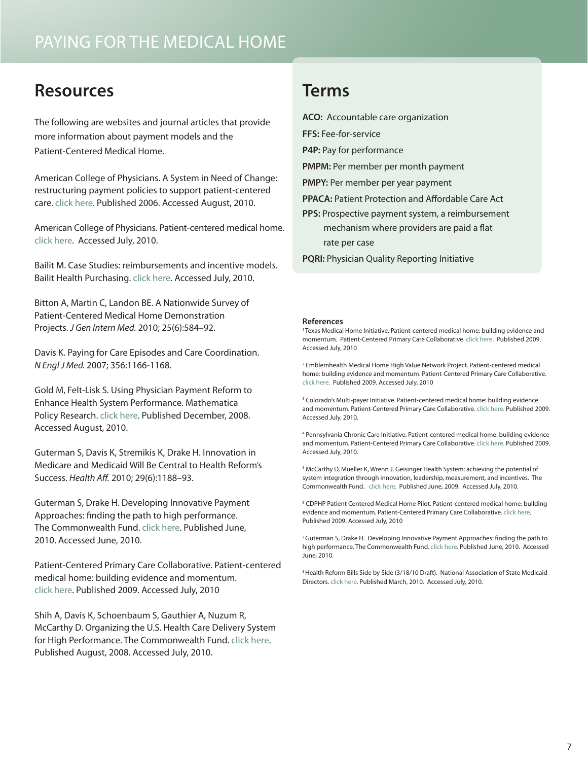## <span id="page-6-0"></span>**Resources**

The following are websites and journal articles that provide more information about payment models and the Patient-Centered Medical Home.

American College of Physicians. A System in Need of Change: restructuring payment policies to support patient-centered care. [click here.](http://www.acponline.org/advocacy/events/state_of_healthcare/statehc07_5.pdf) Published 2006. Accessed August, 2010.

American College of Physicians. Patient-centered medical home. [click here](http://www.acponline.org/running_practice/pcmh/). Accessed July, 2010.

Bailit M. Case Studies: reimbursements and incentive models. Bailit Health Purchasing. [click here.](http://www.bailit-health.com/clients/reimbursement.shtml) Accessed July, 2010.

Bitton A, Martin C, Landon BE. A Nationwide Survey of Patient-Centered Medical Home Demonstration Projects. *J Gen Intern Med.* 2010; 25(6):584–92.

Davis K. Paying for Care Episodes and Care Coordination. *N Engl J Med.* 2007; 356:1166-1168.

Gold M, Felt-Lisk S. Using Physician Payment Reform to Enhance Health System Performance. Mathematica Policy Research[. click here.](http://www.mathematica-mpr.com/PDFs/physpaybrief.pdf) Published December, 2008. Accessed August, 2010.

Guterman S, Davis K, Stremikis K, Drake H. Innovation in Medicare and Medicaid Will Be Central to Health Reform's Success. *Health Aff.* 2010; 29(6):1188–93.

Guterman S, Drake H. Developing Innovative Payment Approaches: finding the path to high performance. The Commonwealth Fund. [click here](http://www.commonwealthfund.org/~/media/Files/Publications/Issue%20Brief/2010/Jun/1401_Guterman_developing_innovative_payment_approaches_ib.pdf). Published June, 2010. Accessed June, 2010.

Patient-Centered Primary Care Collaborative. Patient-centered medical home: building evidence and momentum. [click here.](http://www.pcpcc.net/content/pcpcc_pilot_report.pdf) Published 2009. Accessed July, 2010

Shih A, Davis K, Schoenbaum S, Gauthier A, Nuzum R, McCarthy D. Organizing the U.S. Health Care Delivery System for High Performance. The Commonwealth Fund. [click here](http://www.commonwealthfund.org/~/media/Files/Publications/Fund%20Report/2008/Aug/Organizing%20the%20U%20S%20%20Health%20Care%20Delivery%20System%20for%20High%20Performance/Shih_organizingushltcaredeliverysys_1155%20pdf.pdf). Published August, 2008. Accessed July, 2010.

### **Terms**

**ACO:** Accountable care organization

**FFS:** Fee-for-service

**P4P:** Pay for performance

**PMPM:** Per member per month payment

**PMPY:** Per member per year payment

**PPACA:** Patient Protection and Affordable Care Act

**PPS:** Prospective payment system, a reimbursement mechanism where providers are paid a flat rate per case

**PQRI:** Physician Quality Reporting Initiative

#### **References**

1 Texas Medical Home Initiative. Patient-centered medical home: building evidence and momentum. Patient-Centered Primary Care Collaborative. [click here.](http://www.pcpcc.net/content/pcpcc_pilot_report.pdf) Published 2009. Accessed July, 2010

<sup>2</sup> Emblemhealth Medical Home High Value Network Project. Patient-centered medical home: building evidence and momentum. Patient-Centered Primary Care Collaborative. [click here.](http://www.pcpcc.net/content/pcpcc_pilot_report.pdf) Published 2009. Accessed July, 2010

<sup>3</sup> Colorado's Multi-payer Initiative. Patient-centered medical home: building evidence and momentum. Patient-Centered Primary Care Collaborative. [click here.](http://www.pcpcc.net/content/pcpcc_pilot_report.pdf) Published 2009. Accessed July, 2010.

4 Pennsylvania Chronic Care Initiative. Patient-centered medical home: building evidence and momentum. Patient-Centered Primary Care Collaborative. [click here](http://www.pcpcc.net/content/pcpcc_pilot_report.pdf). Published 2009. Accessed July, 2010.

<sup>5</sup> McCarthy D, Mueller K, Wrenn J. Geisinger Health System: achieving the potential of system integration through innovation, leadership, measurement, and incentives. The Commonwealth Fund. [click here.](http://www.commonwealthfund.org/~/media/Files/Publications/Case%20Study/2009/Jun/McCarthy_Geisinger_case_study_624_update.pdf) Published June, 2009. Accessed July, 2010.

<sup>6</sup> CDPHP Patient Centered Medical Home Pilot. Patient-centered medical home: building evidence and momentum. Patient-Centered Primary Care Collaborative. [click here.](http://www.pcpcc.net/content/pcpcc_pilot_report.pdf) Published 2009. Accessed July, 2010

7 Guterman S, Drake H. Developing Innovative Payment Approaches: finding the path to high performance. The Commonwealth Fund. [click here.](http://www.commonwealthfund.org/~/media/Files/Publications/Issue%20Brief/2010/Jun/1401_Guterman_developing_innovative_payment_approaches_ib.pdf) Published June, 2010. Accessed June, 2010.

<sup>8</sup> Health Reform Bills Side by Side (3/18/10 Draft). National Association of State Medicaid Directors. [click here.](http://hsd.aphsa.org/Home/home_news.asp) Published March, 2010. Accessed July, 2010.